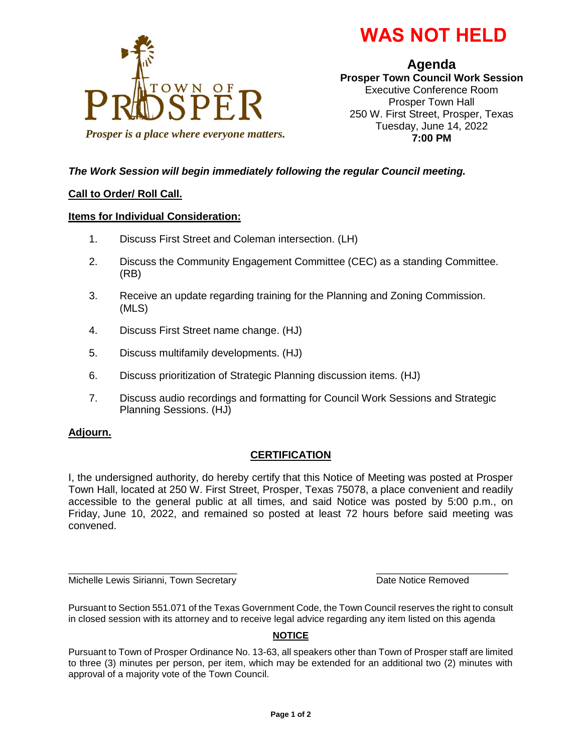



**Agenda Prosper Town Council Work Session** Executive Conference Room Prosper Town Hall 250 W. First Street, Prosper, Texas Tuesday, June 14, 2022 **7:00 PM**

# *The Work Session will begin immediately following the regular Council meeting.*

## **Call to Order/ Roll Call.**

### **Items for Individual Consideration:**

- 1. Discuss First Street and Coleman intersection. (LH)
- 2. Discuss the Community Engagement Committee (CEC) as a standing Committee. (RB)
- 3. Receive an update regarding training for the Planning and Zoning Commission. (MLS)
- 4. Discuss First Street name change. (HJ)
- 5. Discuss multifamily developments. (HJ)
- 6. Discuss prioritization of Strategic Planning discussion items. (HJ)
- 7. Discuss audio recordings and formatting for Council Work Sessions and Strategic Planning Sessions. (HJ)

### **Adjourn.**

# **CERTIFICATION**

I, the undersigned authority, do hereby certify that this Notice of Meeting was posted at Prosper Town Hall, located at 250 W. First Street, Prosper, Texas 75078, a place convenient and readily accessible to the general public at all times, and said Notice was posted by 5:00 p.m., on Friday, June 10, 2022, and remained so posted at least 72 hours before said meeting was convened.

Michelle Lewis Sirianni, Town Secretary **Date Notice Removed** Date Notice Removed

Pursuant to Section 551.071 of the Texas Government Code, the Town Council reserves the right to consult in closed session with its attorney and to receive legal advice regarding any item listed on this agenda

\_\_\_\_\_\_\_\_\_\_\_\_\_\_\_\_\_\_\_\_\_\_\_\_\_\_\_\_\_\_\_\_ \_\_\_\_\_\_\_\_\_\_\_\_\_\_\_\_\_\_\_\_\_\_\_\_\_

### **NOTICE**

Pursuant to Town of Prosper Ordinance No. 13-63, all speakers other than Town of Prosper staff are limited to three (3) minutes per person, per item, which may be extended for an additional two (2) minutes with approval of a majority vote of the Town Council.